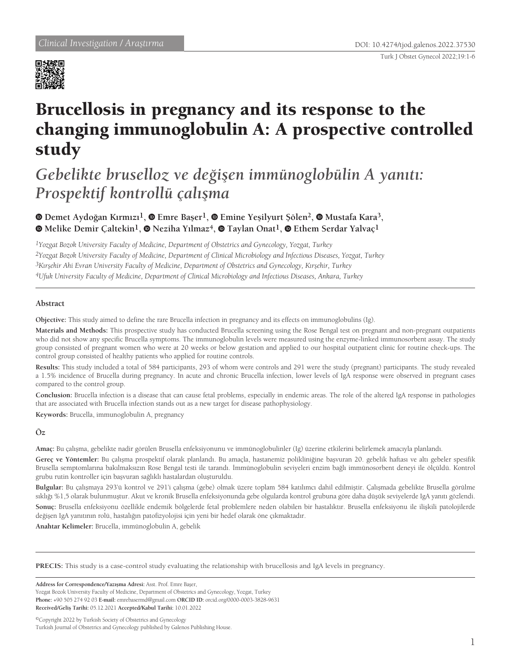

# Brucellosis in pregnancy and its response to the changing immunoglobulin A: A prospective controlled study

*Gebelikte bruselloz ve değişen immünoglobülin A yanıtı: Prospektif kontrollü çalışma*

**Demet Aydoğan Kırmızı1,Emre Başer1,Emine Yeşilyurt Şölen2, Mustafa Kara3, Melike Demir Çaltekin1,Neziha Yılmaz4,Taylan Onat1,Ethem Serdar Yalvaç1**

*1Yozgat Bozok University Faculty of Medicine, Department of Obstetrics and Gynecology, Yozgat, Turkey 2Yozgat Bozok University Faculty of Medicine, Department of Clinical Microbiology and Infectious Diseases, Yozgat, Turkey 3Kırşehir Ahi Evran University Faculty of Medicine, Department of Obstetrics and Gynecology, Kırşehir, Turkey 4Ufuk University Faculty of Medicine, Department of Clinical Microbiology and Infectious Diseases, Ankara, Turkey*

# **Abstract**

**Objective:** This study aimed to define the rare Brucella infection in pregnancy and its effects on immunoglobulins (Ig).

**Materials and Methods:** This prospective study has conducted Brucella screening using the Rose Bengal test on pregnant and non-pregnant outpatients who did not show any specific Brucella symptoms. The immunoglobulin levels were measured using the enzyme-linked immunosorbent assay. The study group consisted of pregnant women who were at 20 weeks or below gestation and applied to our hospital outpatient clinic for routine check-ups. The control group consisted of healthy patients who applied for routine controls.

**Results:** This study included a total of 584 participants, 293 of whom were controls and 291 were the study (pregnant) participants. The study revealed a 1.5% incidence of Brucella during pregnancy. In acute and chronic Brucella infection, lower levels of IgA response were observed in pregnant cases compared to the control group.

**Conclusion:** Brucella infection is a disease that can cause fetal problems, especially in endemic areas. The role of the altered IgA response in pathologies that are associated with Brucella infection stands out as a new target for disease pathophysiology.

**Keywords:** Brucella, immunoglobulin A, pregnancy

# **Öz**

**Amaç:** Bu çalışma, gebelikte nadir görülen Brusella enfeksiyonunu ve immünoglobulinler (Ig) üzerine etkilerini belirlemek amacıyla planlandı.

**Gereç ve Yöntemler:** Bu çalışma prospektif olarak planlandı. Bu amaçla, hastanemiz polikliniğine başvuran 20. gebelik haftası ve altı gebeler spesifik Brusella semptomlarına bakılmaksızın Rose Bengal testi ile tarandı. İmmünoglobulin seviyeleri enzim bağlı immünosorbent deneyi ile ölçüldü. Kontrol grubu rutin kontroller için başvuran sağlıklı hastalardan oluşturuldu.

**Bulgular:** Bu çalışmaya 293'ü kontrol ve 291'i çalışma (gebe) olmak üzere toplam 584 katılımcı dahil edilmiştir. Çalışmada gebelikte Brusella görülme sıklığı %1,5 olarak bulunmuştur. Akut ve kronik Brusella enfeksiyonunda gebe olgularda kontrol grubuna göre daha düşük seviyelerde IgA yanıtı gözlendi. **Sonuç:** Brusella enfeksiyonu özellikle endemik bölgelerde fetal problemlere neden olabilen bir hastalıktır. Brusella enfeksiyonu ile ilişkili patolojilerde değişen IgA yanıtının rolü, hastalığın patofizyolojisi için yeni bir hedef olarak öne çıkmaktadır.

**Anahtar Kelimeler:** Brucella, immünoglobulin A, gebelik

**PRECIS:** This study is a case-control study evaluating the relationship with brucellosis and IgA levels in pregnancy.

**Address for Correspondence/Yazışma Adresi:** Asst. Prof. Emre Başer,

Yozgat Bozok University Faculty of Medicine, Department of Obstetrics and Gynecology, Yozgat, Turkey **Phone:** +90 505 274 92 03 **E-mail:** emrebasermd@gmail.com **ORCID ID:** orcid.org/0000-0003-3828-9631 **Received/Geliş Tarihi:** 05.12.2021 **Accepted/Kabul Tarihi:** 10.01.2022

©Copyright 2022 by Turkish Society of Obstetrics and Gynecology Turkish Journal of Obstetrics and Gynecology published by Galenos Publishing House.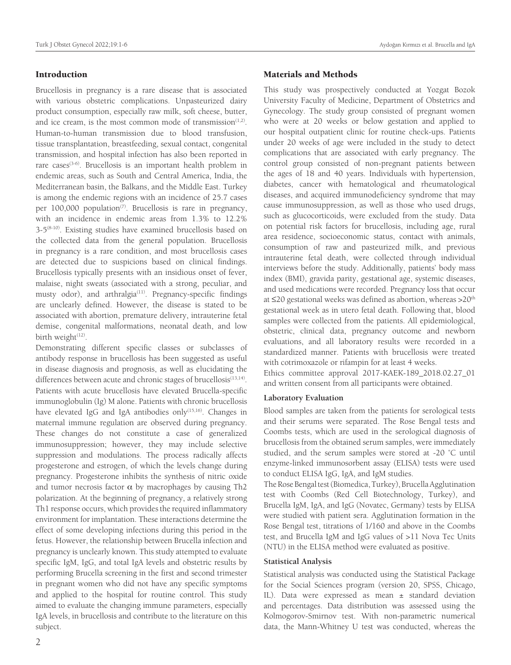# Introduction

Brucellosis in pregnancy is a rare disease that is associated with various obstetric complications. Unpasteurized dairy product consumption, especially raw milk, soft cheese, butter, and ice cream, is the most common mode of transmission $(1,2)$ . Human-to-human transmission due to blood transfusion, tissue transplantation, breastfeeding, sexual contact, congenital transmission, and hospital infection has also been reported in rare cases<sup>(3-6)</sup>. Brucellosis is an important health problem in endemic areas, such as South and Central America, India, the Mediterranean basin, the Balkans, and the Middle East. Turkey is among the endemic regions with an incidence of 25.7 cases per  $100,000$  population<sup> $(7)$ </sup>. Brucellosis is rare in pregnancy, with an incidence in endemic areas from 1.3% to 12.2%  $3-5^{(8-10)}$ . Existing studies have examined brucellosis based on the collected data from the general population. Brucellosis in pregnancy is a rare condition, and most brucellosis cases are detected due to suspicions based on clinical findings. Brucellosis typically presents with an insidious onset of fever, malaise, night sweats (associated with a strong, peculiar, and musty odor), and arthralgia<sup>(11)</sup>. Pregnancy-specific findings are unclearly defined. However, the disease is stated to be associated with abortion, premature delivery, intrauterine fetal demise, congenital malformations, neonatal death, and low birth weight<sup>(12)</sup>.

Demonstrating different specific classes or subclasses of antibody response in brucellosis has been suggested as useful in disease diagnosis and prognosis, as well as elucidating the differences between acute and chronic stages of brucellosis<sup>(13,14)</sup>. Patients with acute brucellosis have elevated Brucella-specific immunoglobulin (Ig) M alone. Patients with chronic brucellosis have elevated IgG and IgA antibodies only<sup>(15,16)</sup>. Changes in maternal immune regulation are observed during pregnancy. These changes do not constitute a case of generalized immunosuppression; however, they may include selective suppression and modulations. The process radically affects progesterone and estrogen, of which the levels change during pregnancy. Progesterone inhibits the synthesis of nitric oxide and tumor necrosis factor  $\alpha$  by macrophages by causing Th2 polarization. At the beginning of pregnancy, a relatively strong Th1 response occurs, which provides the required inflammatory environment for implantation. These interactions determine the effect of some developing infections during this period in the fetus. However, the relationship between Brucella infection and pregnancy is unclearly known. This study attempted to evaluate specific IgM, IgG, and total IgA levels and obstetric results by performing Brucella screening in the first and second trimester in pregnant women who did not have any specific symptoms and applied to the hospital for routine control. This study aimed to evaluate the changing immune parameters, especially IgA levels, in brucellosis and contribute to the literature on this subject.

#### Materials and Methods

This study was prospectively conducted at Yozgat Bozok University Faculty of Medicine, Department of Obstetrics and Gynecology. The study group consisted of pregnant women who were at 20 weeks or below gestation and applied to our hospital outpatient clinic for routine check-ups. Patients under 20 weeks of age were included in the study to detect complications that are associated with early pregnancy. The control group consisted of non-pregnant patients between the ages of 18 and 40 years. Individuals with hypertension, diabetes, cancer with hematological and rheumatological diseases, and acquired immunodeficiency syndrome that may cause immunosuppression, as well as those who used drugs, such as glucocorticoids, were excluded from the study. Data on potential risk factors for brucellosis, including age, rural area residence, socioeconomic status, contact with animals, consumption of raw and pasteurized milk, and previous intrauterine fetal death, were collected through individual interviews before the study. Additionally, patients' body mass index (BMI), gravida parity, gestational age, systemic diseases, and used medications were recorded. Pregnancy loss that occur at  $\leq$ 20 gestational weeks was defined as abortion, whereas >20<sup>th</sup> gestational week as in utero fetal death. Following that, blood samples were collected from the patients. All epidemiological, obstetric, clinical data, pregnancy outcome and newborn evaluations, and all laboratory results were recorded in a standardized manner. Patients with brucellosis were treated with cotrimoxazole or rifampin for at least 4 weeks.

Ethics committee approval 2017-KAEK-189\_2018.02.27\_01 and written consent from all participants were obtained.

# **Laboratory Evaluation**

Blood samples are taken from the patients for serological tests and their serums were separated. The Rose Bengal tests and Coombs tests, which are used in the serological diagnosis of brucellosis from the obtained serum samples, were immediately studied, and the serum samples were stored at -20 ˚C until enzyme-linked immunosorbent assay (ELISA) tests were used to conduct ELISA IgG, IgA, and IgM studies.

The Rose Bengal test (Biomedica, Turkey), Brucella Agglutination test with Coombs (Red Cell Biotechnology, Turkey), and Brucella IgM, IgA, and IgG (Novatec, Germany) tests by ELISA were studied with patient sera. Agglutination formation in the Rose Bengal test, titrations of 1/160 and above in the Coombs test, and Brucella IgM and IgG values of >11 Nova Tec Units (NTU) in the ELISA method were evaluated as positive.

#### **Statistical Analysis**

Statistical analysis was conducted using the Statistical Package for the Social Sciences program (version 20, SPSS, Chicago, IL). Data were expressed as mean ± standard deviation and percentages. Data distribution was assessed using the Kolmogorov-Smirnov test. With non-parametric numerical data, the Mann-Whitney U test was conducted, whereas the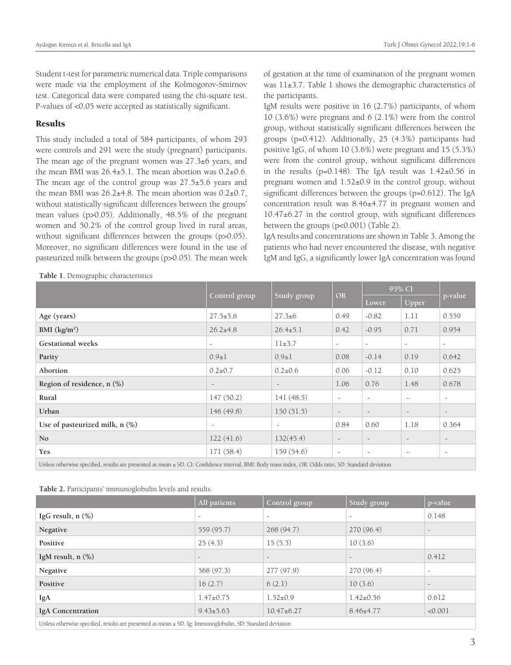Student t-test for parametric numerical data. Triple comparisons were made via the employment of the Kolmogorov-Smirnov test. Categorical data were compared using the chi-square test. P-values of <0.05 were accepted as statistically significant.

#### Results

This study included a total of 584 participants, of whom 293 were controls and 291 were the study (pregnant) participants. The mean age of the pregnant women was 27.3±6 years, and the mean BMI was  $26.4\pm5.1$ . The mean abortion was  $0.2\pm0.6$ . The mean age of the control group was 27.5±5.6 years and the mean BMI was  $26.2\pm4.8$ . The mean abortion was  $0.2\pm0.7$ , without statistically significant differences between the groups' mean values (p>0.05). Additionally, 48.5% of the pregnant women and 50.2% of the control group lived in rural areas, without significant differences between the groups (p>0.05). Moreover, no significant differences were found in the use of pasteurized milk between the groups (p>0.05). The mean week of gestation at the time of examination of the pregnant women was 11±3.7. Table 1 shows the demographic characteristics of the participants.

IgM results were positive in 16 (2.7%) participants, of whom 10 (3.6%) were pregnant and 6 (2.1%) were from the control group, without statistically significant differences between the groups (p=0.412). Additionally, 25 (4.3%) participants had positive IgG, of whom 10 (3.6%) were pregnant and 15 (5.3%) were from the control group, without significant differences in the results ( $p=0.148$ ). The IgA result was  $1.42\pm0.56$  in pregnant women and 1.52±0.9 in the control group, without significant differences between the groups (p=0.612). The IgA concentration result was 8.46±4.77 in pregnant women and 10.47±6.27 in the control group, with significant differences between the groups (p<0.001) (Table 2).

IgA results and concentrations are shown in Table 3. Among the patients who had never encountered the disease, with negative IgM and IgG, a significantly lower IgA concentration was found

**Table 1.** Demographic characteristics

|                                                                                                                                                       |                          |                          | <b>OR</b>                | 95% Cl                   |                          |                          |  |
|-------------------------------------------------------------------------------------------------------------------------------------------------------|--------------------------|--------------------------|--------------------------|--------------------------|--------------------------|--------------------------|--|
|                                                                                                                                                       | Control group            | Study group              |                          | Lower                    | Upper                    | p-value                  |  |
| Age (years)                                                                                                                                           | $27.5 \pm 5.6$           | $27.3 \pm 6$             | 0.49                     | $-0.82$                  | 1.11                     | 0.559                    |  |
| BMI $(kg/m2)$                                                                                                                                         | $26.2 \pm 4.8$           | $26.4 \pm 5.1$           | 0.42                     | $-0.95$                  | 0.71                     | 0.954                    |  |
| <b>Gestational</b> weeks                                                                                                                              | $\overline{\phantom{a}}$ | $11\pm3.7$               | $\overline{\phantom{a}}$ | $\overline{\phantom{a}}$ | $\overline{\phantom{a}}$ | $\overline{\phantom{a}}$ |  |
| Parity                                                                                                                                                | $0.9 \pm 1$              | $0.9 + 1$                | 0.08                     | $-0.14$                  | 0.19                     | 0.642                    |  |
| Abortion                                                                                                                                              | $0.2 \pm 0.7$            | $0.2 \pm 0.6$            | 0.06                     | $-0.12$                  | 0.10                     | 0.625                    |  |
| Region of residence, n (%)                                                                                                                            |                          |                          | 1.06                     | 0.76                     | 1.48                     | 0.678                    |  |
| Rural                                                                                                                                                 | 147(50.2)                | 141(48.5)                | $\overline{\phantom{a}}$ | $\overline{\phantom{a}}$ | $\overline{\phantom{a}}$ | $\overline{\phantom{a}}$ |  |
| Urban                                                                                                                                                 | 146(49.8)                | 150(51.5)                | $\overline{\phantom{a}}$ | $\overline{\phantom{a}}$ | $\overline{\phantom{a}}$ | $\overline{\phantom{a}}$ |  |
| Use of pasteurized milk, $n$ $(\%)$                                                                                                                   | $\overline{\phantom{a}}$ | $\overline{\phantom{a}}$ | 0.84                     | 0.60                     | 1.18                     | 0.364                    |  |
| No                                                                                                                                                    | 122(41.6)                | 132(45.4)                | $\overline{\phantom{a}}$ |                          |                          |                          |  |
| <b>Yes</b>                                                                                                                                            | 171(58.4)                | 159(54.6)                | $\overline{\phantom{a}}$ | $\overline{\phantom{a}}$ | $\overline{\phantom{a}}$ | $\overline{\phantom{a}}$ |  |
| Unless otherwise specified, results are presented as mean ± SD. CI: Confidence interval, BMI: Body mass index, OR: Odds ratio, SD: Standard deviation |                          |                          |                          |                          |                          |                          |  |

|  | Table 2. Participants' immunoglobulin levels and results |  |
|--|----------------------------------------------------------|--|
|  |                                                          |  |

|                                                                                                                                                                                                                                                                                                                                                                          | All patients    | Control group            | Study group              | p-value                  |  |  |  |
|--------------------------------------------------------------------------------------------------------------------------------------------------------------------------------------------------------------------------------------------------------------------------------------------------------------------------------------------------------------------------|-----------------|--------------------------|--------------------------|--------------------------|--|--|--|
| IgG result, $n$ $(\%)$                                                                                                                                                                                                                                                                                                                                                   |                 | $\overline{\phantom{a}}$ | $\overline{\phantom{a}}$ | 0.148                    |  |  |  |
| Negative                                                                                                                                                                                                                                                                                                                                                                 | 559 (95.7)      | 268(94.7)                | 270 (96.4)               | $\overline{\phantom{a}}$ |  |  |  |
| Positive                                                                                                                                                                                                                                                                                                                                                                 | 25(4.3)         | 15(5.3)                  | 10(3.6)                  |                          |  |  |  |
| IgM result, $n$ $(\%)$                                                                                                                                                                                                                                                                                                                                                   |                 |                          |                          | 0.412                    |  |  |  |
| Negative                                                                                                                                                                                                                                                                                                                                                                 | 568 (97.3)      | 277(97.9)                | 270 (96.4)               |                          |  |  |  |
| Positive                                                                                                                                                                                                                                                                                                                                                                 | 16(2.7)         | 6(2.1)                   | 10(3.6)                  |                          |  |  |  |
| IgA                                                                                                                                                                                                                                                                                                                                                                      | $1.47 \pm 0.75$ | $1.52 \pm 0.9$           | $1.42 \pm 0.56$          | 0.612                    |  |  |  |
| <b>IgA</b> Concentration                                                                                                                                                                                                                                                                                                                                                 | $9.43 \pm 5.63$ | $10.47 \pm 6.27$         | $8.46 \pm 4.77$          | < 0.001                  |  |  |  |
| $\sim$ . The second contract of the second contract of the second contract of the second contract of the second contract of the second contract of the second contract of the second contract of the second contract of the sec<br>$\frac{1}{2}$ , and $\frac{1}{2}$ , and $\frac{1}{2}$ , and $\frac{1}{2}$ , and $\frac{1}{2}$ , and $\frac{1}{2}$ , and $\frac{1}{2}$ |                 |                          |                          |                          |  |  |  |

Unless otherwise specified, results are presented as mean  $\pm$  SD. Ig: Immunoglobulin, SD: Standard deviation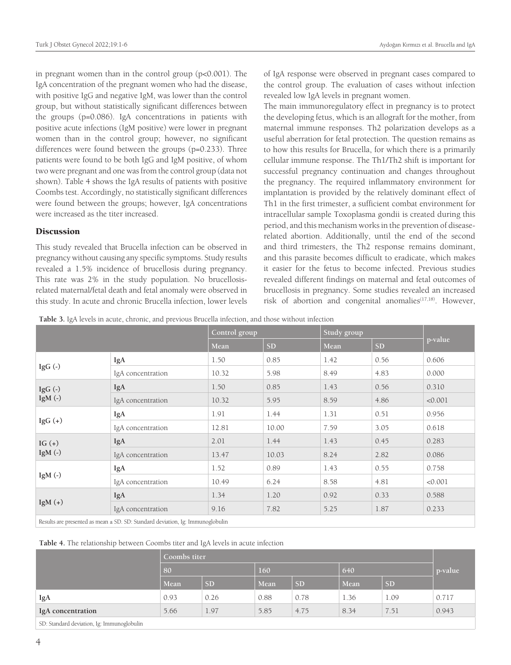in pregnant women than in the control group (p<0.001). The IgA concentration of the pregnant women who had the disease, with positive IgG and negative IgM, was lower than the control group, but without statistically significant differences between the groups (p=0.086). IgA concentrations in patients with positive acute infections (IgM positive) were lower in pregnant women than in the control group; however, no significant differences were found between the groups (p=0.233). Three patients were found to be both IgG and IgM positive, of whom two were pregnant and one was from the control group (data not shown). Table 4 shows the IgA results of patients with positive Coombs test. Accordingly, no statistically significant differences were found between the groups; however, IgA concentrations were increased as the titer increased.

## **Discussion**

This study revealed that Brucella infection can be observed in pregnancy without causing any specific symptoms. Study results revealed a 1.5% incidence of brucellosis during pregnancy. This rate was 2% in the study population. No brucellosisrelated maternal/fetal death and fetal anomaly were observed in this study. In acute and chronic Brucella infection, lower levels of IgA response were observed in pregnant cases compared to the control group. The evaluation of cases without infection revealed low IgA levels in pregnant women.

The main immunoregulatory effect in pregnancy is to protect the developing fetus, which is an allograft for the mother, from maternal immune responses. Th2 polarization develops as a useful aberration for fetal protection. The question remains as to how this results for Brucella, for which there is a primarily cellular immune response. The Th1/Th2 shift is important for successful pregnancy continuation and changes throughout the pregnancy. The required inflammatory environment for implantation is provided by the relatively dominant effect of Th1 in the first trimester, a sufficient combat environment for intracellular sample Toxoplasma gondii is created during this period, and this mechanism works in the prevention of diseaserelated abortion. Additionally, until the end of the second and third trimesters, the Th2 response remains dominant, and this parasite becomes difficult to eradicate, which makes it easier for the fetus to become infected. Previous studies revealed different findings on maternal and fetal outcomes of brucellosis in pregnancy. Some studies revealed an increased risk of abortion and congenital anomalies<sup>(17,18)</sup>. However,

**Table 3.** IgA levels in acute, chronic, and previous Brucella infection, and those without infection

|                                                                                  |                   | Control group |           | Study group |           |         |  |
|----------------------------------------------------------------------------------|-------------------|---------------|-----------|-------------|-----------|---------|--|
|                                                                                  |                   | Mean          | <b>SD</b> | Mean        | <b>SD</b> | p-value |  |
| IgG $(-)$                                                                        | IgA               | 1.50          | 0.85      | 1.42        | 0.56      | 0.606   |  |
|                                                                                  | IgA concentration | 10.32         | 5.98      | 8.49        | 4.83      | 0.000   |  |
| IgG $(-)$<br>IgM $(-)$                                                           | IgA               | 1.50          | 0.85      | 1.43        | 0.56      | 0.310   |  |
|                                                                                  | IgA concentration | 10.32         | 5.95      | 8.59        | 4.86      | < 0.001 |  |
| IgG $(+)$                                                                        | IgA               | 1.91          | 1.44      | 1.31        | 0.51      | 0.956   |  |
|                                                                                  | IgA concentration | 12.81         | 10.00     | 7.59        | 3.05      | 0.618   |  |
| IG $(+)$<br>IgM $(-)$                                                            | IgA               | 2.01          | 1.44      | 1.43        | 0.45      | 0.283   |  |
|                                                                                  | IgA concentration | 13.47         | 10.03     | 8.24        | 2.82      | 0.086   |  |
| IgM $(-)$                                                                        | IgA               | 1.52          | 0.89      | 1.43        | 0.55      | 0.758   |  |
|                                                                                  | IgA concentration | 10.49         | 6.24      | 8.58        | 4.81      | < 0.001 |  |
| $IgM (+)$                                                                        | IgA               | 1.34          | 1.20      | 0.92        | 0.33      | 0.588   |  |
|                                                                                  | IgA concentration | 9.16          | 7.82      | 5.25        | 1.87      | 0.233   |  |
| Deadle an announced concern a CD CD. Concluded decoration to turning calculation |                   |               |           |             |           |         |  |

esults are presented as mean  $\pm$  SD. SD: Standard deviation, Ig: Immunoglobulin

**Table 4.** The relationship between Coombs titer and IgA levels in acute infection

|                                            | Coombs titer |           |      |           |      |           |                 |
|--------------------------------------------|--------------|-----------|------|-----------|------|-----------|-----------------|
|                                            | 80           |           | 160  |           | 640  |           | <i>p</i> -value |
|                                            | Mean         | <b>SD</b> | Mean | <b>SD</b> | Mean | <b>SD</b> |                 |
| IgA                                        | 0.93         | 0.26      | 0.88 | 0.78      | 1.36 | 1.09      | 0.717           |
| IgA concentration                          | 5.66         | 1.97      | 5.85 | 4.75      | 8.34 | 7.51      | 0.943           |
| SD: Standard deviation, Ig: Immunoglobulin |              |           |      |           |      |           |                 |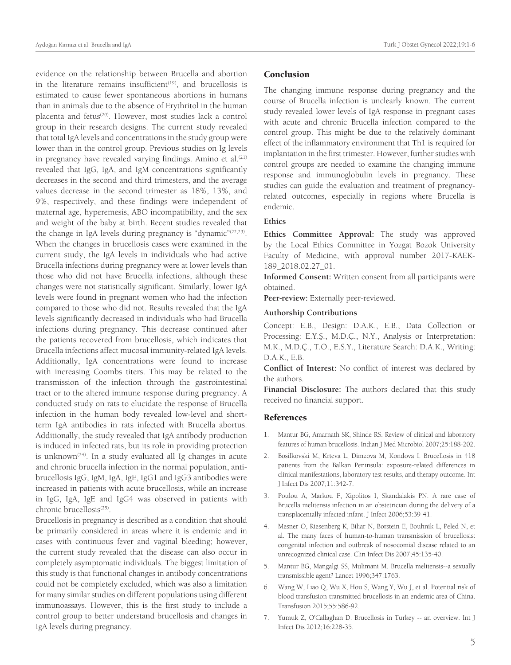evidence on the relationship between Brucella and abortion in the literature remains insufficient<sup>(19)</sup>, and brucellosis is estimated to cause fewer spontaneous abortions in humans than in animals due to the absence of Erythritol in the human placenta and fetus<sup>(20)</sup>. However, most studies lack a control group in their research designs. The current study revealed that total IgA levels and concentrations in the study group were lower than in the control group. Previous studies on Ig levels in pregnancy have revealed varying findings. Amino et al.<sup>(21)</sup> revealed that IgG, IgA, and IgM concentrations significantly decreases in the second and third trimesters, and the average values decrease in the second trimester as 18%, 13%, and 9%, respectively, and these findings were independent of maternal age, hyperemesis, ABO incompatibility, and the sex and weight of the baby at birth. Recent studies revealed that the change in IgA levels during pregnancy is "dynamic" $(22,23)$ . When the changes in brucellosis cases were examined in the current study, the IgA levels in individuals who had active Brucella infections during pregnancy were at lower levels than those who did not have Brucella infections, although these changes were not statistically significant. Similarly, lower IgA levels were found in pregnant women who had the infection compared to those who did not. Results revealed that the IgA levels significantly decreased in individuals who had Brucella infections during pregnancy. This decrease continued after the patients recovered from brucellosis, which indicates that Brucella infections affect mucosal immunity-related IgA levels. Additionally, IgA concentrations were found to increase with increasing Coombs titers. This may be related to the transmission of the infection through the gastrointestinal tract or to the altered immune response during pregnancy. A conducted study on rats to elucidate the response of Brucella infection in the human body revealed low-level and shortterm IgA antibodies in rats infected with Brucella abortus. Additionally, the study revealed that IgA antibody production is induced in infected rats, but its role in providing protection is unknown<sup> $(24)$ </sup>. In a study evaluated all Ig changes in acute and chronic brucella infection in the normal population, antibrucellosis IgG, IgM, IgA, IgE, IgG1 and IgG3 antibodies were increased in patients with acute brucellosis, while an increase in IgG, IgA, IgE and IgG4 was observed in patients with chronic brucellosis<sup>(25)</sup>.

Brucellosis in pregnancy is described as a condition that should be primarily considered in areas where it is endemic and in cases with continuous fever and vaginal bleeding; however, the current study revealed that the disease can also occur in completely asymptomatic individuals. The biggest limitation of this study is that functional changes in antibody concentrations could not be completely excluded, which was also a limitation for many similar studies on different populations using different immunoassays. However, this is the first study to include a control group to better understand brucellosis and changes in IgA levels during pregnancy.

## Conclusion

The changing immune response during pregnancy and the course of Brucella infection is unclearly known. The current study revealed lower levels of IgA response in pregnant cases with acute and chronic Brucella infection compared to the control group. This might be due to the relatively dominant effect of the inflammatory environment that Th1 is required for implantation in the first trimester. However, further studies with control groups are needed to examine the changing immune response and immunoglobulin levels in pregnancy. These studies can guide the evaluation and treatment of pregnancyrelated outcomes, especially in regions where Brucella is endemic.

# **Ethics**

**Ethics Committee Approval:** The study was approved by the Local Ethics Committee in Yozgat Bozok University Faculty of Medicine, with approval number 2017-KAEK-189\_2018.02.27\_01.

**Informed Consent:** Written consent from all participants were obtained.

**Peer-review:** Externally peer-reviewed.

#### **Authorship Contributions**

Concept: E.B., Design: D.A.K., E.B., Data Collection or Processing: E.Y.Ş., M.D.Ç., N.Y., Analysis or Interpretation: M.K., M.D.Ç., T.O., E.S.Y., Literature Search: D.A.K., Writing: D.A.K., E.B.

**Conflict of Interest:** No conflict of interest was declared by the authors.

**Financial Disclosure:** The authors declared that this study received no financial support.

#### References

- 1. Mantur BG, Amarnath SK, Shinde RS. Review of clinical and laboratory features of human brucellosis. Indian J Med Microbiol 2007;25:188-202.
- 2. Bosilkovski M, Krteva L, Dimzova M, Kondova I. Brucellosis in 418 patients from the Balkan Peninsula: exposure-related differences in clinical manifestations, laboratory test results, and therapy outcome. Int J Infect Dis 2007;11:342-7.
- 3. Poulou A, Markou F, Xipolitos I, Skandalakis PN. A rare case of Brucella melitensis infection in an obstetrician during the delivery of a transplacentally infected infant. J Infect 2006;53:39-41.
- 4. Mesner O, Riesenberg K, Biliar N, Borstein E, Bouhnik L, Peled N, et al. The many faces of human-to-human transmission of brucellosis: congenital infection and outbreak of nosocomial disease related to an unrecognized clinical case. Clin Infect Dis 2007;45:135-40.
- 5. Mantur BG, Mangalgi SS, Mulimani M. Brucella melitensis--a sexually transmissible agent? Lancet 1996;347:1763.
- 6. Wang W, Liao Q, Wu X, Hou S, Wang Y, Wu J, et al. Potential risk of blood transfusion-transmitted brucellosis in an endemic area of China. Transfusion 2015;55:586-92.
- 7. Yumuk Z, O'Callaghan D. Brucellosis in Turkey -- an overview. Int J Infect Dis 2012;16:228-35.